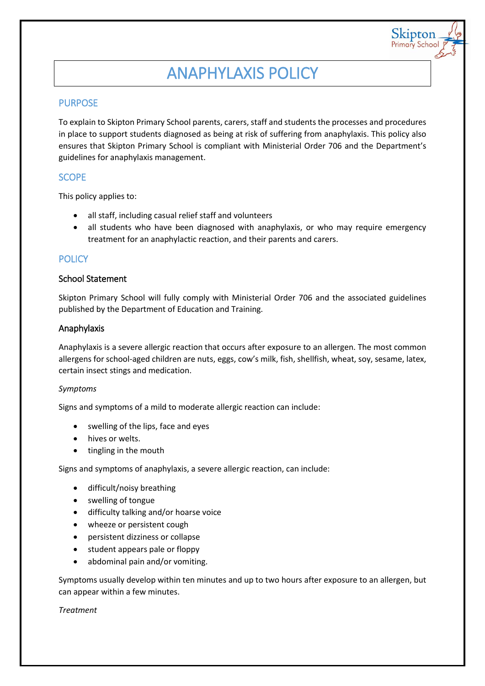# ANAPHYLAXIS POLICY

Skipton Primary Schoo

# PURPOSE

To explain to Skipton Primary School parents, carers, staff and students the processes and procedures in place to support students diagnosed as being at risk of suffering from anaphylaxis. This policy also ensures that Skipton Primary School is compliant with Ministerial Order 706 and the Department's guidelines for anaphylaxis management.

# **SCOPE**

This policy applies to:

- all staff, including casual relief staff and volunteers
- all students who have been diagnosed with anaphylaxis, or who may require emergency treatment for an anaphylactic reaction, and their parents and carers.

# **POLICY**

#### School Statement

Skipton Primary School will fully comply with Ministerial Order 706 and the associated guidelines published by the Department of Education and Training.

#### Anaphylaxis

Anaphylaxis is a severe allergic reaction that occurs after exposure to an allergen. The most common allergens for school-aged children are nuts, eggs, cow's milk, fish, shellfish, wheat, soy, sesame, latex, certain insect stings and medication.

#### *Symptoms*

Signs and symptoms of a mild to moderate allergic reaction can include:

- swelling of the lips, face and eyes
- hives or welts.
- tingling in the mouth

Signs and symptoms of anaphylaxis, a severe allergic reaction, can include:

- difficult/noisy breathing
- swelling of tongue
- difficulty talking and/or hoarse voice
- wheeze or persistent cough
- persistent dizziness or collapse
- student appears pale or floppy
- abdominal pain and/or vomiting.

Symptoms usually develop within ten minutes and up to two hours after exposure to an allergen, but can appear within a few minutes.

#### *Treatment*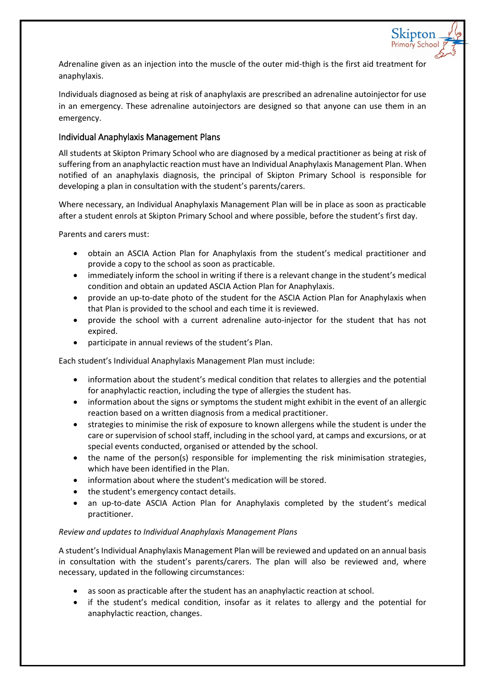Adrenaline given as an injection into the muscle of the outer mid-thigh is the first aid treatment for anaphylaxis.

Skipton

Individuals diagnosed as being at risk of anaphylaxis are prescribed an adrenaline autoinjector for use in an emergency. These adrenaline autoinjectors are designed so that anyone can use them in an emergency.

## Individual Anaphylaxis Management Plans

All students at Skipton Primary School who are diagnosed by a medical practitioner as being at risk of suffering from an anaphylactic reaction must have an Individual Anaphylaxis Management Plan. When notified of an anaphylaxis diagnosis, the principal of Skipton Primary School is responsible for developing a plan in consultation with the student's parents/carers.

Where necessary, an Individual Anaphylaxis Management Plan will be in place as soon as practicable after a student enrols at Skipton Primary School and where possible, before the student's first day.

Parents and carers must:

- obtain an ASCIA Action Plan for Anaphylaxis from the student's medical practitioner and provide a copy to the school as soon as practicable.
- immediately inform the school in writing if there is a relevant change in the student's medical condition and obtain an updated ASCIA Action Plan for Anaphylaxis.
- provide an up-to-date photo of the student for the ASCIA Action Plan for Anaphylaxis when that Plan is provided to the school and each time it is reviewed.
- provide the school with a current adrenaline auto-injector for the student that has not expired.
- participate in annual reviews of the student's Plan.

Each student's Individual Anaphylaxis Management Plan must include:

- information about the student's medical condition that relates to allergies and the potential for anaphylactic reaction, including the type of allergies the student has.
- information about the signs or symptoms the student might exhibit in the event of an allergic reaction based on a written diagnosis from a medical practitioner.
- strategies to minimise the risk of exposure to known allergens while the student is under the care or supervision of school staff, including in the school yard, at camps and excursions, or at special events conducted, organised or attended by the school.
- the name of the person(s) responsible for implementing the risk minimisation strategies, which have been identified in the Plan.
- information about where the student's medication will be stored.
- the student's emergency contact details.
- an up-to-date ASCIA Action Plan for Anaphylaxis completed by the student's medical practitioner.

#### *Review and updates to Individual Anaphylaxis Management Plans*

A student's Individual Anaphylaxis Management Plan will be reviewed and updated on an annual basis in consultation with the student's parents/carers. The plan will also be reviewed and, where necessary, updated in the following circumstances:

- as soon as practicable after the student has an anaphylactic reaction at school.
- if the student's medical condition, insofar as it relates to allergy and the potential for anaphylactic reaction, changes.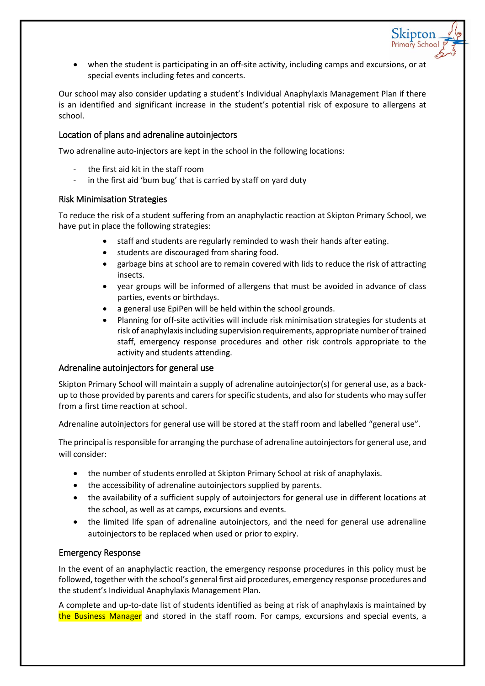when the student is participating in an off-site activity, including camps and excursions, or at special events including fetes and concerts.

Skipton

Our school may also consider updating a student's Individual Anaphylaxis Management Plan if there is an identified and significant increase in the student's potential risk of exposure to allergens at school.

## Location of plans and adrenaline autoinjectors

Two adrenaline auto-injectors are kept in the school in the following locations:

- the first aid kit in the staff room
- in the first aid 'bum bug' that is carried by staff on yard duty

#### Risk Minimisation Strategies

To reduce the risk of a student suffering from an anaphylactic reaction at Skipton Primary School, we have put in place the following strategies:

- staff and students are regularly reminded to wash their hands after eating.
- students are discouraged from sharing food.
- garbage bins at school are to remain covered with lids to reduce the risk of attracting insects.
- year groups will be informed of allergens that must be avoided in advance of class parties, events or birthdays.
- a general use EpiPen will be held within the school grounds.
- Planning for off-site activities will include risk minimisation strategies for students at risk of anaphylaxis including supervision requirements, appropriate number of trained staff, emergency response procedures and other risk controls appropriate to the activity and students attending.

#### Adrenaline autoinjectors for general use

Skipton Primary School will maintain a supply of adrenaline autoinjector(s) for general use, as a backup to those provided by parents and carers for specific students, and also for students who may suffer from a first time reaction at school.

Adrenaline autoinjectors for general use will be stored at the staff room and labelled "general use".

The principal is responsible for arranging the purchase of adrenaline autoinjectors for general use, and will consider:

- the number of students enrolled at Skipton Primary School at risk of anaphylaxis.
- the accessibility of adrenaline autoinjectors supplied by parents.
- the availability of a sufficient supply of autoinjectors for general use in different locations at the school, as well as at camps, excursions and events.
- the limited life span of adrenaline autoinjectors, and the need for general use adrenaline autoinjectors to be replaced when used or prior to expiry.

#### Emergency Response

In the event of an anaphylactic reaction, the emergency response procedures in this policy must be followed, together with the school's general first aid procedures, emergency response procedures and the student's Individual Anaphylaxis Management Plan.

A complete and up-to-date list of students identified as being at risk of anaphylaxis is maintained by the Business Manager and stored in the staff room. For camps, excursions and special events, a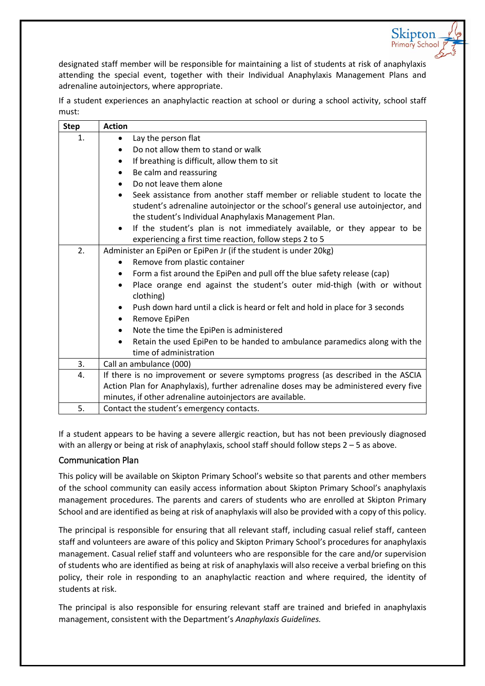designated staff member will be responsible for maintaining a list of students at risk of anaphylaxis attending the special event, together with their Individual Anaphylaxis Management Plans and adrenaline autoinjectors, where appropriate.

Skipton Primary Schoo

If a student experiences an anaphylactic reaction at school or during a school activity, school staff must:

| <b>Step</b> | <b>Action</b>                                                                                                                                                                                                                        |
|-------------|--------------------------------------------------------------------------------------------------------------------------------------------------------------------------------------------------------------------------------------|
| 1.          | Lay the person flat<br>$\bullet$                                                                                                                                                                                                     |
|             | Do not allow them to stand or walk                                                                                                                                                                                                   |
|             | If breathing is difficult, allow them to sit<br>$\bullet$                                                                                                                                                                            |
|             | Be calm and reassuring<br>$\bullet$                                                                                                                                                                                                  |
|             | Do not leave them alone<br>$\bullet$                                                                                                                                                                                                 |
|             | Seek assistance from another staff member or reliable student to locate the<br>$\bullet$<br>student's adrenaline autoinjector or the school's general use autoinjector, and<br>the student's Individual Anaphylaxis Management Plan. |
|             | If the student's plan is not immediately available, or they appear to be<br>$\bullet$<br>experiencing a first time reaction, follow steps 2 to 5                                                                                     |
| 2.          | Administer an EpiPen or EpiPen Jr (if the student is under 20kg)                                                                                                                                                                     |
|             | Remove from plastic container<br>$\bullet$                                                                                                                                                                                           |
|             | Form a fist around the EpiPen and pull off the blue safety release (cap)                                                                                                                                                             |
|             | Place orange end against the student's outer mid-thigh (with or without<br>$\bullet$<br>clothing)                                                                                                                                    |
|             | Push down hard until a click is heard or felt and hold in place for 3 seconds<br>$\bullet$                                                                                                                                           |
|             | Remove EpiPen<br>٠                                                                                                                                                                                                                   |
|             | Note the time the EpiPen is administered<br>$\bullet$                                                                                                                                                                                |
|             | Retain the used EpiPen to be handed to ambulance paramedics along with the<br>$\bullet$<br>time of administration                                                                                                                    |
| 3.          | Call an ambulance (000)                                                                                                                                                                                                              |
| 4.          | If there is no improvement or severe symptoms progress (as described in the ASCIA                                                                                                                                                    |
|             | Action Plan for Anaphylaxis), further adrenaline doses may be administered every five                                                                                                                                                |
|             | minutes, if other adrenaline autoinjectors are available.                                                                                                                                                                            |
| 5.          | Contact the student's emergency contacts.                                                                                                                                                                                            |

If a student appears to be having a severe allergic reaction, but has not been previously diagnosed with an allergy or being at risk of anaphylaxis, school staff should follow steps 2 – 5 as above.

## Communication Plan

This policy will be available on Skipton Primary School's website so that parents and other members of the school community can easily access information about Skipton Primary School's anaphylaxis management procedures. The parents and carers of students who are enrolled at Skipton Primary School and are identified as being at risk of anaphylaxis will also be provided with a copy of this policy.

The principal is responsible for ensuring that all relevant staff, including casual relief staff, canteen staff and volunteers are aware of this policy and Skipton Primary School's procedures for anaphylaxis management. Casual relief staff and volunteers who are responsible for the care and/or supervision of students who are identified as being at risk of anaphylaxis will also receive a verbal briefing on this policy, their role in responding to an anaphylactic reaction and where required, the identity of students at risk.

The principal is also responsible for ensuring relevant staff are trained and briefed in anaphylaxis management, consistent with the Department's *Anaphylaxis Guidelines.*